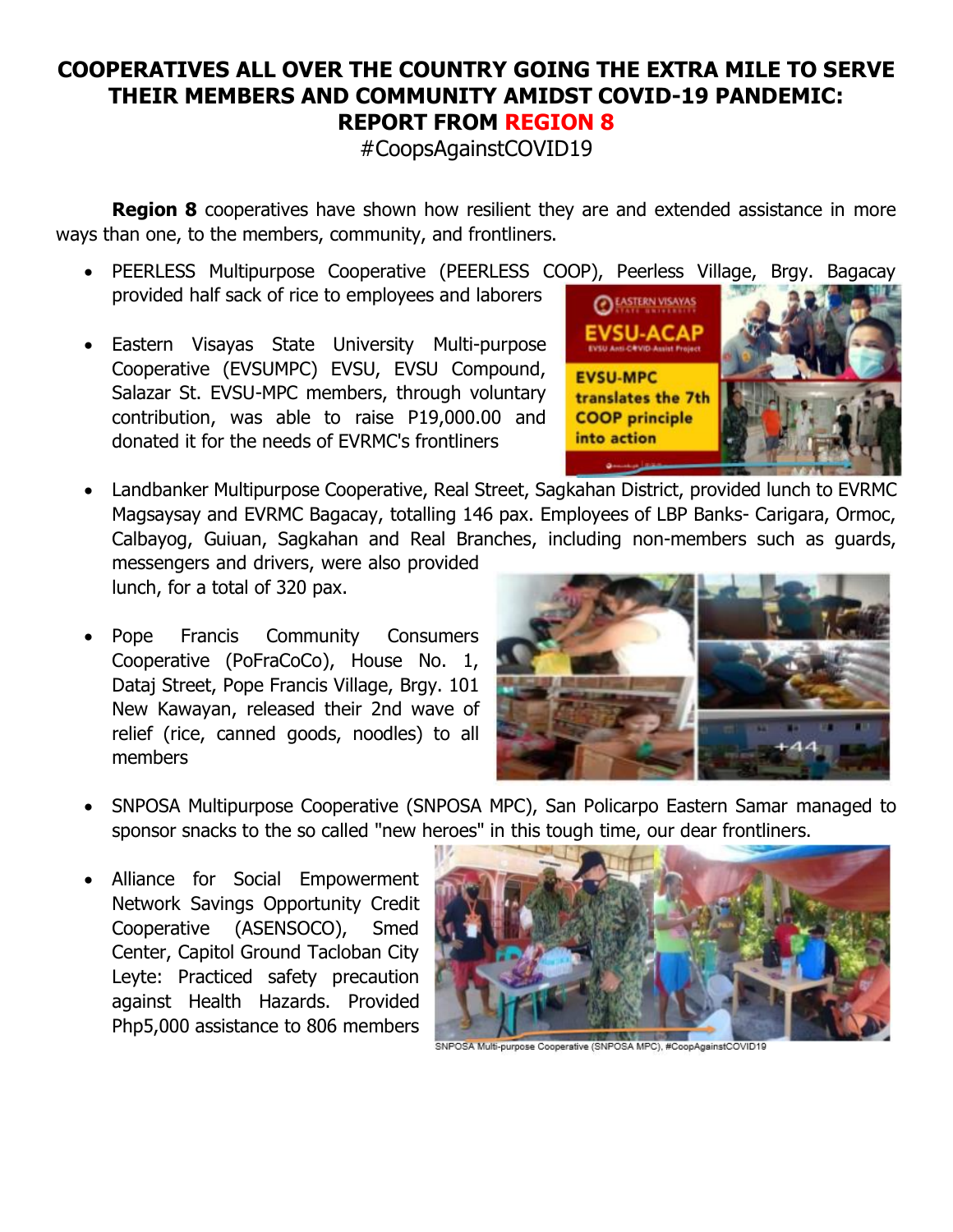## **COOPERATIVES ALL OVER THE COUNTRY GOING THE EXTRA MILE TO SERVE THEIR MEMBERS AND COMMUNITY AMIDST COVID-19 PANDEMIC: REPORT FROM REGION 8**

#CoopsAgainstCOVID19

**Region 8** cooperatives have shown how resilient they are and extended assistance in more ways than one, to the members, community, and frontliners.

- PEERLESS Multipurpose Cooperative (PEERLESS COOP), Peerless Village, Brgy. Bagacay provided half sack of rice to employees and laborers
- Eastern Visayas State University Multi-purpose Cooperative (EVSUMPC) EVSU, EVSU Compound, Salazar St. EVSU-MPC members, through voluntary contribution, was able to raise P19,000.00 and donated it for the needs of EVRMC's frontliners
- Landbanker Multipurpose Cooperative, Real Street, Sagkahan District, provided lunch to EVRMC Magsaysay and EVRMC Bagacay, totalling 146 pax. Employees of LBP Banks- Carigara, Ormoc, Calbayog, Guiuan, Sagkahan and Real Branches, including non-members such as guards,

messengers and drivers, were also provided lunch, for a total of 320 pax.

Pope Francis Community Consumers Cooperative (PoFraCoCo), House No. 1, Dataj Street, Pope Francis Village, Brgy. 101 New Kawayan, released their 2nd wave of relief (rice, canned goods, noodles) to all members



- SNPOSA Multipurpose Cooperative (SNPOSA MPC), San Policarpo Eastern Samar managed to sponsor snacks to the so called "new heroes" in this tough time, our dear frontliners.
- Alliance for Social Empowerment Network Savings Opportunity Credit Cooperative (ASENSOCO), Smed Center, Capitol Ground Tacloban City Leyte: Practiced safety precaution against Health Hazards. Provided Php5,000 assistance to 806 members



SNPOSA Multi-purpose Cooperative (SNPOSA MPC), #CoopAgainstCOVID19